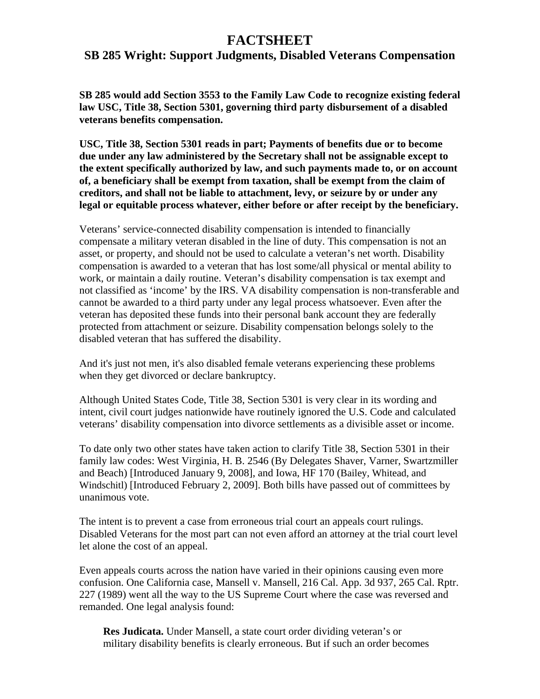## **FACTSHEET**

## **SB 285 Wright: Support Judgments, Disabled Veterans Compensation**

**SB 285 would add Section 3553 to the Family Law Code to recognize existing federal law USC, Title 38, Section 5301, governing third party disbursement of a disabled veterans benefits compensation.** 

**USC, Title 38, Section 5301 reads in part; Payments of benefits due or to become due under any law administered by the Secretary shall not be assignable except to the extent specifically authorized by law, and such payments made to, or on account of, a beneficiary shall be exempt from taxation, shall be exempt from the claim of creditors, and shall not be liable to attachment, levy, or seizure by or under any legal or equitable process whatever, either before or after receipt by the beneficiary.** 

Veterans' service-connected disability compensation is intended to financially compensate a military veteran disabled in the line of duty. This compensation is not an asset, or property, and should not be used to calculate a veteran's net worth. Disability compensation is awarded to a veteran that has lost some/all physical or mental ability to work, or maintain a daily routine. Veteran's disability compensation is tax exempt and not classified as 'income' by the IRS. VA disability compensation is non-transferable and cannot be awarded to a third party under any legal process whatsoever. Even after the veteran has deposited these funds into their personal bank account they are federally protected from attachment or seizure. Disability compensation belongs solely to the disabled veteran that has suffered the disability.

And it's just not men, it's also disabled female veterans experiencing these problems when they get divorced or declare bankruptcy.

Although United States Code, Title 38, Section 5301 is very clear in its wording and intent, civil court judges nationwide have routinely ignored the U.S. Code and calculated veterans' disability compensation into divorce settlements as a divisible asset or income.

To date only two other states have taken action to clarify Title 38, Section 5301 in their family law codes: West Virginia, H. B. 2546 (By Delegates Shaver, Varner, Swartzmiller and Beach) [Introduced January 9, 2008], and Iowa, HF 170 (Bailey, Whitead, and Windschitl) [Introduced February 2, 2009]. Both bills have passed out of committees by unanimous vote.

The intent is to prevent a case from erroneous trial court an appeals court rulings. Disabled Veterans for the most part can not even afford an attorney at the trial court level let alone the cost of an appeal.

Even appeals courts across the nation have varied in their opinions causing even more confusion. One California case, Mansell v. Mansell, 216 Cal. App. 3d 937, 265 Cal. Rptr. 227 (1989) went all the way to the US Supreme Court where the case was reversed and remanded. One legal analysis found:

**Res Judicata.** Under Mansell, a state court order dividing veteran's or military disability benefits is clearly erroneous. But if such an order becomes